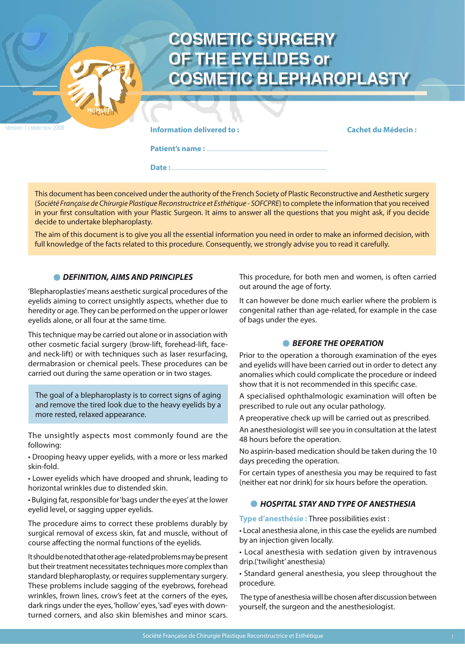| Version 1 créée nov 2008 | <b>COSMETIC SURGERY</b><br>OF THE EYELIDES or<br><b>COSMETIC BLEPHAROPLASTY</b> |                           |
|--------------------------|---------------------------------------------------------------------------------|---------------------------|
|                          | <b>Information delivered to:</b><br>Date:                                       | <b>Cachet du Médecin:</b> |

This document has been conceived under the authority of the French Society of Plastic Reconstructive and Aesthetic surgery (*Société Française de Chirurgie Plastique Reconstructrice et Esthétique - SOFCPRE*) to complete the information that you received in your first consultation with your Plastic Surgeon. It aims to answer all the questions that you might ask, if you decide decide to undertake blepharoplasty.

The aim of this document is to give you all the essential information you need in order to make an informed decision, with full knowledge of the facts related to this procedure. Consequently, we strongly advise you to read it carefully.

## *DEFINITION, AIMS AND PRINCIPLES*

'Blepharoplasties' means aesthetic surgical procedures of the eyelids aiming to correct unsightly aspects, whether due to heredity or age. They can be performed on the upper or lower eyelids alone, or all four at the same time.

This technique may be carried out alone or in association with other cosmetic facial surgery (brow-lift, forehead-lift, faceand neck-lift) or with techniques such as laser resurfacing, dermabrasion or chemical peels. These procedures can be carried out during the same operation or in two stages.

The goal of a blepharoplasty is to correct signs of aging and remove the tired look due to the heavy eyelids by a more rested, relaxed appearance.

The unsightly aspects most commonly found are the following:

• Drooping heavy upper eyelids, with a more or less marked skin-fold.

• Lower eyelids which have drooped and shrunk, leading to horizontal wrinkles due to distended skin.

• Bulging fat, responsible for 'bags under the eyes' at the lower eyelid level, or sagging upper eyelids.

The procedure aims to correct these problems durably by surgical removal of excess skin, fat and muscle, without of course affecting the normal functions of the eyelids.

It should be noted that other age-related problems may be present but their treatment necessitates techniques more complex than standard blepharoplasty, or requires supplementary surgery. These problems include sagging of the eyebrows, forehead wrinkles, frown lines, crow's feet at the corners of the eyes, dark rings under the eyes, 'hollow' eyes, 'sad' eyes with downturned corners, and also skin blemishes and minor scars.

This procedure, for both men and women, is often carried out around the age of forty.

It can however be done much earlier where the problem is congenital rather than age-related, for example in the case of bags under the eyes.

### **BEFORE THE OPERATION**

Prior to the operation a thorough examination of the eyes and eyelids will have been carried out in order to detect any anomalies which could complicate the procedure or indeed show that it is not recommended in this specific case.

A specialised ophthalmologic examination will often be prescribed to rule out any ocular pathology.

A preoperative check up will be carried out as prescribed.

An anesthesiologist will see you in consultation at the latest 48 hours before the operation.

No aspirin-based medication should be taken during the 10 days preceding the operation.

For certain types of anesthesia you may be required to fast (neither eat nor drink) for six hours before the operation.

# *HOSPITAL STAY AND TYPE OF ANESTHESIA*

**Type d'anesthésie :** Three possibilities exist :

• Local anesthesia alone, in this case the eyelids are numbed by an injection given locally.

• Local anesthesia with sedation given by intravenous drip.('twilight' anesthesia)

• Standard general anesthesia, you sleep throughout the procedure.

 The type of anesthesia will be chosen after discussion between yourself, the surgeon and the anesthesiologist.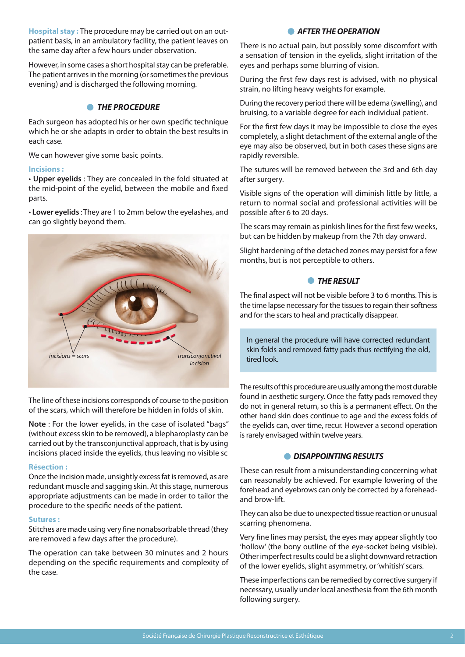**Hospital stay :** The procedure may be carried out on an outpatient basis, in an ambulatory facility, the patient leaves on the same day after a few hours under observation.

However, in some cases a short hospital stay can be preferable. The patient arrives in the morning (or sometimes the previous evening) and is discharged the following morning.

## *THE PROCEDURE*

Each surgeon has adopted his or her own specific technique which he or she adapts in order to obtain the best results in each case.

We can however give some basic points.

#### **Incisions :**

• **Upper eyelids** : They are concealed in the fold situated at the mid-point of the eyelid, between the mobile and fixed parts.

• **Lower eyelids** : They are 1 to 2mm below the eyelashes, and can go slightly beyond them.



The line of these incisions corresponds of course to the position of the scars, which will therefore be hidden in folds of skin.

**Note** : For the lower eyelids, in the case of isolated "bags" (without excess skin to be removed), a blepharoplasty can be carried out by the transconjunctival approach, that is by using incisions placed inside the eyelids, thus leaving no visible sc

#### **Résection :**

Once the incision made, unsightly excess fat is removed, as are redundant muscle and sagging skin. At this stage, numerous appropriate adjustments can be made in order to tailor the procedure to the specific needs of the patient.

#### **Sutures :**

Stitches are made using very fine nonabsorbable thread (they are removed a few days after the procedure).

The operation can take between 30 minutes and 2 hours depending on the specific requirements and complexity of the case.

### **AFTER THE OPERATION**

There is no actual pain, but possibly some discomfort with a sensation of tension in the eyelids, slight irritation of the eyes and perhaps some blurring of vision.

During the first few days rest is advised, with no physical strain, no lifting heavy weights for example.

During the recovery period there will be edema (swelling), and bruising, to a variable degree for each individual patient.

For the first few days it may be impossible to close the eyes completely, a slight detachment of the external angle of the eye may also be observed, but in both cases these signs are rapidly reversible.

The sutures will be removed between the 3rd and 6th day after surgery.

Visible signs of the operation will diminish little by little, a return to normal social and professional activities will be possible after 6 to 20 days.

The scars may remain as pinkish lines for the first few weeks, but can be hidden by makeup from the 7th day onward.

Slight hardening of the detached zones may persist for a few months, but is not perceptible to others.

### **• THE RESULT**

The final aspect will not be visible before 3 to 6 months. This is the time lapse necessary for the tissues to regain their softness and for the scars to heal and practically disappear.

In general the procedure will have corrected redundant skin folds and removed fatty pads thus rectifying the old, tired look.

The results of this procedure are usually among the most durable found in aesthetic surgery. Once the fatty pads removed they do not in general return, so this is a permanent effect. On the other hand skin does continue to age and the excess folds of the eyelids can, over time, recur. However a second operation is rarely envisaged within twelve years.

# *DISAPPOINTING RESULTS*

These can result from a misunderstanding concerning what can reasonably be achieved. For example lowering of the forehead and eyebrows can only be corrected by a foreheadand brow-lift.

They can also be due to unexpected tissue reaction or unusual scarring phenomena.

Very fine lines may persist, the eyes may appear slightly too 'hollow' (the bony outline of the eye-socket being visible). Other imperfect results could be a slight downward retraction of the lower eyelids, slight asymmetry, or 'whitish' scars.

These imperfections can be remedied by corrective surgery if necessary, usually under local anesthesia from the 6th month following surgery.